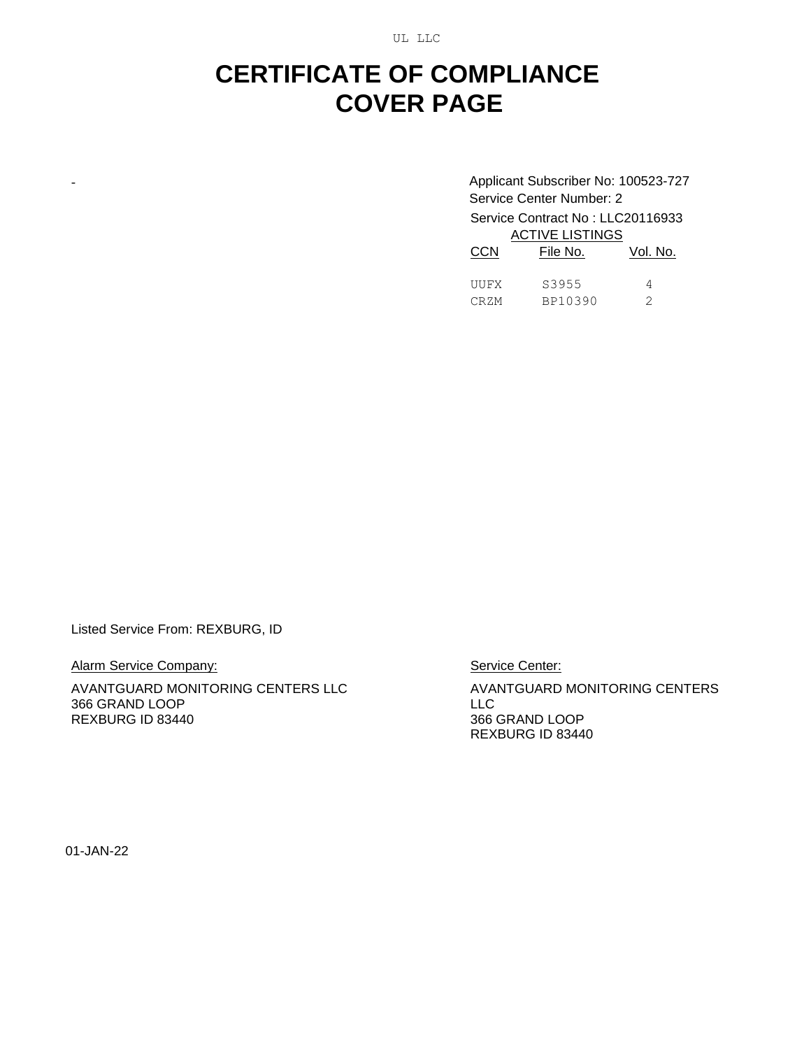UL LLC

## **CERTIFICATE OF COMPLIANCE COVER PAGE**

- Applicant Subscriber No: 100523-727 Service Center Number: 2 Service Contract No : LLC20116933 ACTIVE LISTINGS CCN File No. Vol. No.

| UUFX | S3955   |  |
|------|---------|--|
| CRZM | BP10390 |  |

Listed Service From: REXBURG, ID

Alarm Service Company:

AVANTGUARD MONITORING CENTERS LLC 366 GRAND LOOP REXBURG ID 83440

Service Center:

AVANTGUARD MONITORING CENTERS LLC 366 GRAND LOOP REXBURG ID 83440

01-JAN-22